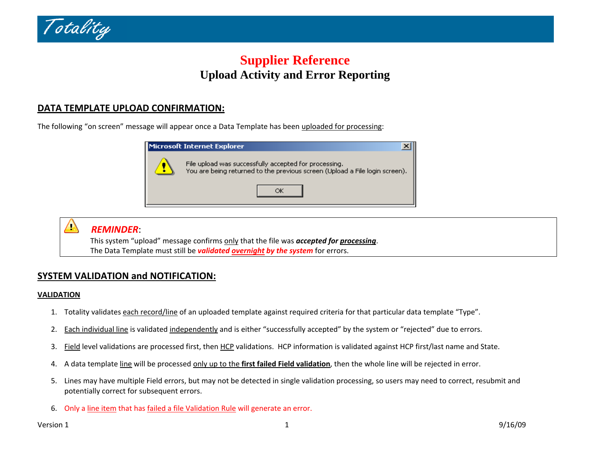

# **Supplier Reference Upload Activity and Error Reporting**

## **DATA TEMPLATE UPLOAD CONFIRMATION:**

The following "on screen" message will appear once a Data Template has been <u>uploaded for processing</u>:





### *REMINDER*:

This system "upload" message confirms only that the file was *accepted for processing*. The Data Template must still be *validated overnight by the system* for errors.

## **SYSTEM VALIDATION and NOTIFICATION:**

#### **VALIDATION**

- 1. Totality validates <u>each record/line</u> of an uploaded template against required criteria for that particular data template "Type".
- 2.. Each individual line is validated independently and is either "successfully accepted" by the system or "rejected" due to errors.
- 3.. Field level validations are processed first, then HCP validations. HCP information is validated against HCP first/last name and State.
- 4. Adata template line will be processed only up to the **first failed Field validation**, then the whole line will be rejected in error.
- 5. Lines may have multiple Field errors, but may not be detected in single validation processing, so users may need to correct, resubmit and potentially correct for subsequent errors.
- 6. Only a line item that has failed a file Validation Rule will generate an error.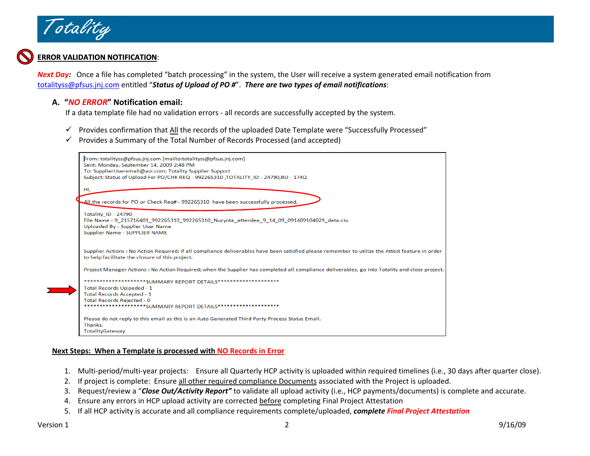

#### **ERROR VALIDATION NOTIFICATION**:

*Next Day:* Once <sup>a</sup> file has completed "batch processing" in the system, the User will receive <sup>a</sup> system generated email notification from [totalityss@pfsus.jnj.com](mailto:totalityss@pfsus.jnj.com) entitled "*Status of Upload of PO #*". *There are two types of email notifications*:

#### **A. "***NO ERROR***" Notification email:**

If a data template file had no validation errors ‐ all records are successfully accepted by the system.

- $\checkmark$  Provides confirmation that All the records of the uploaded Date Template were "Successfully Processed"
- $\checkmark$  Provides a Summary of the Total Number of Records Processed (and accepted)

| From: totalityss@pfsus.jnj.com [mailto:totalityss@pfsus.jnj.com]<br>Sent: Monday, September 14, 2009 2:48 PM<br>To: SupplierUseremail@aol.com; Totality Supplier Support<br>Subject: Status of Upload For PO/CHK REQ - 992265310 , TOTALITY ID - 24790, BU - 174Q |
|-------------------------------------------------------------------------------------------------------------------------------------------------------------------------------------------------------------------------------------------------------------------|
| Hi,                                                                                                                                                                                                                                                               |
|                                                                                                                                                                                                                                                                   |
| All the records for PO or Check Reg# - 992265310 have been successfully processed.                                                                                                                                                                                |
|                                                                                                                                                                                                                                                                   |
| Totality ID - 24790                                                                                                                                                                                                                                               |
| File Name - 9 215716401 992265310 992265310 Nucynta attendee 9 14 09 091409104029 data.csv                                                                                                                                                                        |
| Uploaded By - Supplier User Name                                                                                                                                                                                                                                  |
| Supplier Name - SUPPLIER NAME                                                                                                                                                                                                                                     |
|                                                                                                                                                                                                                                                                   |
|                                                                                                                                                                                                                                                                   |
| Supplier Actions: No Action Required; if all compliance deliverables have been satisfied please remember to utilize the Attest feature in order<br>to help facilitate the closure of this project.                                                                |
|                                                                                                                                                                                                                                                                   |
| Project Manager Actions: No Action Required; when the Supplier has completed all compliance deliverables, go into Totality and close project.                                                                                                                     |
|                                                                                                                                                                                                                                                                   |
| ***********SUMMARY REPORT DETAILS*********************                                                                                                                                                                                                            |
| Total Records Uploaded - 1                                                                                                                                                                                                                                        |
| <b>Total Records Accepted - 1</b>                                                                                                                                                                                                                                 |
| Total Records Rejected - 0                                                                                                                                                                                                                                        |
| ****SUMMARY REPORT DETAILS********************                                                                                                                                                                                                                    |
| Please do not reply to this email as this is an Auto Generated Third Party Process Status Email.                                                                                                                                                                  |
| Thanks.                                                                                                                                                                                                                                                           |
| TotalityGateway                                                                                                                                                                                                                                                   |
|                                                                                                                                                                                                                                                                   |

#### **Next Steps: When <sup>a</sup> Template is processed with NO Records in Error**

- 1. Multi‐period/multi‐year projects: Ensure all Quarterly HCP activity is uploaded within required timelines (i.e., 30 days after quarter close).
- 2.. If project is complete: Ensure <u>all other required compliance Documents</u> associated with the Project is uploaded.
- 3.Request/review <sup>a</sup> "*Close Out/Activity Report"* to validate all upload activity (i.e., HCP payments/documents) is complete and accurate.
- 4. Ensure any errors in HCP upload activity are corrected before completing Final Project Attestation
- 5. If all HCP activity is accurate and all compliance requirements complete/uploaded, *complete Final Project Attestation*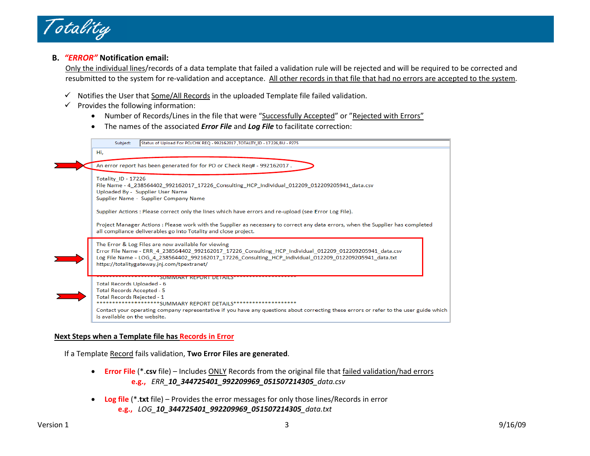

#### **B.** *"ERROR"* **Notification email:**

Only the individual lines/records of <sup>a</sup> data template that failed <sup>a</sup> validation rule will be rejected and will be required to be corrected and resubmitted to the system for re-validation and acceptance. All <u>other records in that file that had no errors are accepted to the system</u>.

- $\checkmark$  Notifies the User that Some/All Records in the uploaded Template file failed validation.
- $\checkmark$  Provides the following information:
	- Number of Records/Lines in the file that were "Successfully Accepted" or "Rejected with Errors"
	- •The names of the associated *Error File* and *Log File* to facilitate correction:



#### **Next Steps when <sup>a</sup> Template file has Records in Error**

If a Template Record fails validation, **Two Error Files are generated**.

- • **Error File** (\*.**csv** file) – Includes ONLY Records from the original file that failed validation/had errors **e.g.,** *ERR\_10\_344725401\_992209969\_051507214305\_data.csv*
- **Log file** (\*.**txt** file) Provides the error messages for only those lines/Records in error **e.g.,** *LOG\_10\_344725401\_992209969\_051507214305\_data.txt*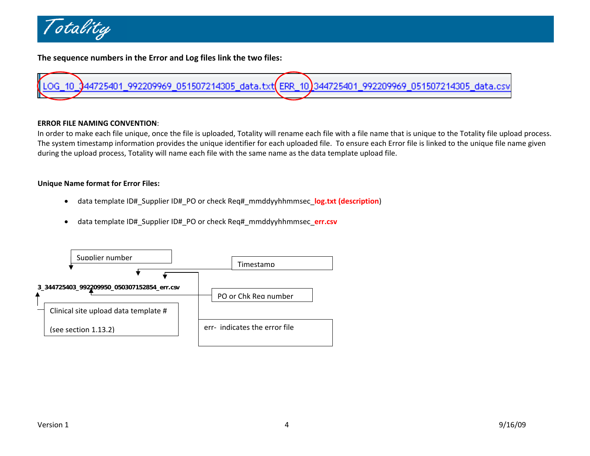

**The sequence numbers in the Error and Log files link the two files:**



#### **ERROR FILE NAMING CONVENTION**:

In order to make each file unique, once the file is uploaded, Totality will rename each file with <sup>a</sup> file name that is unique to the Totality file upload process. The system timestamp information provides the unique identifier for each uploaded file. To ensure each Error file is linked to the unique file name given during the upload process, Totality will name each file with the same name as the data template upload file.

#### **Unique Name format for Error Files:**

- $\bullet$ data template ID#\_Supplier ID#\_PO or check Req#\_mmddyyhhmmsec\_**log.txt (description**)
- •data template ID#\_Supplier ID#\_PO or check Req#\_mmddyyhhmmsec\_**err.csv**

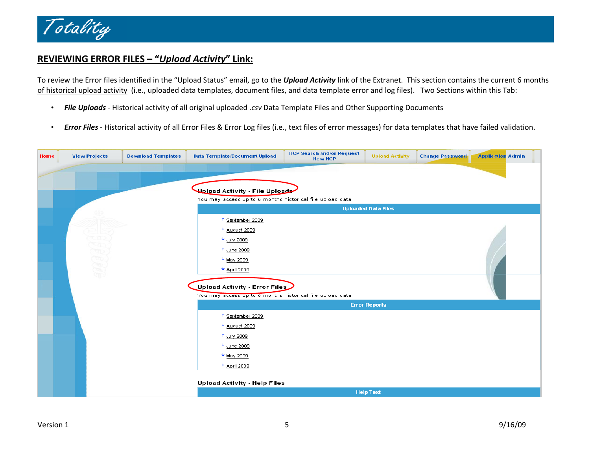

## **REVIEWING ERROR FILES – "***Upload Activity***" Link:**

To review the Error files identified in the "Upload Status" email, go to the *Upload Activity* link of the Extranet. This section contains the current 6 months of historical upload activity (i.e., uploaded data templates, document files, and data template error and log files). Two Sections within this Tab:

- •*File Uploads* ‐ Historical activity of all original uploaded .*csv* Data Template Files and Other Supporting Documents
- •*Error Files* ‐ Historical activity of all Error Files & Error Log files (i.e., text files of error messages) for data templates that have failed validation.

| Home | <b>View Projects</b>                                      | <b>Download Templates</b> | <b>Data Template/Document Upload</b>                      | <b>HCP Search and/or Request</b><br><b>New HCP</b> | <b>Upload Activity</b> | <b>Change Password</b> | <b>Application Admin</b> |  |  |  |  |  |
|------|-----------------------------------------------------------|---------------------------|-----------------------------------------------------------|----------------------------------------------------|------------------------|------------------------|--------------------------|--|--|--|--|--|
|      |                                                           |                           |                                                           |                                                    |                        |                        |                          |  |  |  |  |  |
|      |                                                           |                           | محلول Upload Activity - File Upload                       |                                                    |                        |                        |                          |  |  |  |  |  |
|      | You may access up to 6 months historical file upload data |                           |                                                           |                                                    |                        |                        |                          |  |  |  |  |  |
|      | <b>Uploaded Data Files</b>                                |                           |                                                           |                                                    |                        |                        |                          |  |  |  |  |  |
|      |                                                           |                           |                                                           |                                                    |                        |                        |                          |  |  |  |  |  |
|      |                                                           |                           | * August 2009                                             |                                                    |                        |                        |                          |  |  |  |  |  |
|      |                                                           |                           | <sup>◆</sup> July 2009                                    |                                                    |                        |                        |                          |  |  |  |  |  |
|      |                                                           |                           | <sup>◆</sup> June 2009                                    |                                                    |                        |                        |                          |  |  |  |  |  |
|      |                                                           |                           | * May 2009                                                |                                                    |                        |                        |                          |  |  |  |  |  |
|      | <b>UBBBBB</b>                                             |                           | * April 2009                                              |                                                    |                        |                        |                          |  |  |  |  |  |
|      |                                                           |                           |                                                           |                                                    |                        |                        |                          |  |  |  |  |  |
|      |                                                           |                           | Upload Activity - Error Files                             |                                                    |                        |                        |                          |  |  |  |  |  |
|      |                                                           |                           | You may access up to 6 months historical file upload data |                                                    |                        |                        |                          |  |  |  |  |  |
|      |                                                           |                           |                                                           |                                                    | <b>Error Reports</b>   |                        |                          |  |  |  |  |  |
|      |                                                           |                           | <sup>◆</sup> September 2009                               |                                                    |                        |                        |                          |  |  |  |  |  |
|      |                                                           |                           | * August 2009                                             |                                                    |                        |                        |                          |  |  |  |  |  |
|      |                                                           |                           | * July 2009                                               |                                                    |                        |                        |                          |  |  |  |  |  |
|      |                                                           |                           | <sup>♦</sup> June 2009                                    |                                                    |                        |                        |                          |  |  |  |  |  |
|      |                                                           |                           | * May 2009                                                |                                                    |                        |                        |                          |  |  |  |  |  |
|      |                                                           |                           | * April 2009                                              |                                                    |                        |                        |                          |  |  |  |  |  |
|      |                                                           |                           |                                                           |                                                    |                        |                        |                          |  |  |  |  |  |
|      |                                                           |                           | Upload Activity - Help Files                              |                                                    |                        |                        |                          |  |  |  |  |  |
|      |                                                           |                           |                                                           |                                                    | <b>Help Text</b>       |                        |                          |  |  |  |  |  |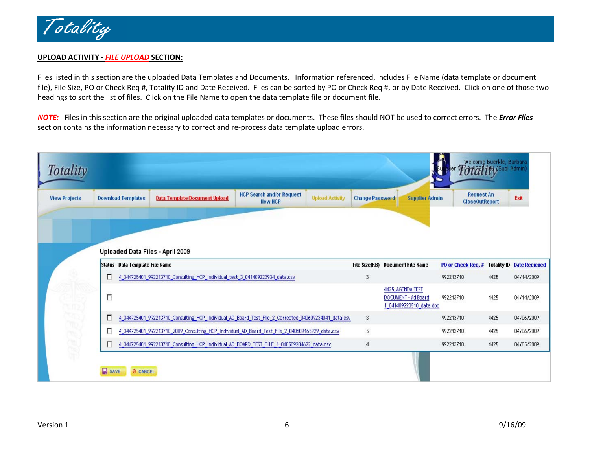

#### **UPLOAD ACTIVITY ‐** *FILE UPLOAD* **SECTION:**

Files listed in this section are the uploaded Data Templates and Documents. Information referenced, includes File Name (data template or document file), File Size, PO or Check Req #, Totality ID and Date Received. Files can be sorted by PO or Check Req #, or by Date Received. Click on one of those two headings to sort the list of files. Click on the File Name to open the data template file or document file.

*NOTE:* Files in this section are the original uploaded data templates or documents. These files should NOT be used to correct errors. The *Error Files* section contains the information necessary to correct and re‐process data template upload errors.

| <b>View Projects</b> |   | <b>Data Template Document Upload</b><br><b>Download Templates</b>            | <b>HCP Search and/or Request</b><br><b>Upload Activity</b><br><b>New HCP</b>                         | <b>Change Password</b> | <b>Supplier Admin</b>                   | <b>Request An</b><br><b>CloseOutReport</b> |                    | Exit                 |
|----------------------|---|------------------------------------------------------------------------------|------------------------------------------------------------------------------------------------------|------------------------|-----------------------------------------|--------------------------------------------|--------------------|----------------------|
|                      |   | Uploaded Data Files - April 2009                                             |                                                                                                      |                        |                                         |                                            |                    |                      |
|                      |   | Status Data Template File Name                                               |                                                                                                      |                        | File Size(KB) Document File Name        | PO or Check Req. #                         | <b>Totality ID</b> | <b>Date Recieved</b> |
|                      | г | 4_344725401_992213710_Consulting_HCP_Individual_test_3_041409223934_data.csv |                                                                                                      | 3                      |                                         | 992213710                                  | 4425               | 04/14/2009           |
|                      |   |                                                                              |                                                                                                      |                        | 4425 AGENDA TEST<br>DOCUMENT - Ad Board | 992213710                                  | 4425               | 04/14/2009           |
|                      | П |                                                                              |                                                                                                      |                        | 1 041409223510 data.doc                 |                                            |                    |                      |
|                      | г |                                                                              | 4_344725401_992213710_Consulting_HCP_Individual_AD_Board_Test_File_2_Corrected_040609234041_data.csv | 3                      |                                         | 992213710                                  | 4425               | 04/06/2009           |
| <b>MARERES</b>       | г |                                                                              | 4_344725401_992213710_2009_Consulting_HCP_Individual_AD_Board_Test_File_2_040609165929_data.csv      | 5.                     |                                         | 992213710                                  | 4425               | 04/06/2009           |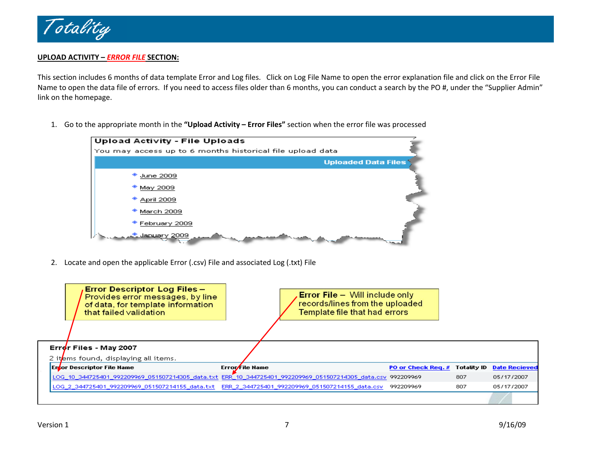

#### **UPLOAD ACTIVITY –** *ERROR FILE* **SECTION:**

This section includes 6 months of data template Error and Log files. Click on Log File Name to open the error explanation file and click on the Error File Name to open the data file of errors. If you need to access files older than 6 months, you can conduct <sup>a</sup> search by the PO #, under the "Supplier Admin" link on the homepage.

1. Go to the appropriate month in the **"Upload Activity – Error Files"** section when the error file was processed



2. Locate and open the applicable Error (.csv) File and associated Log (.txt) File

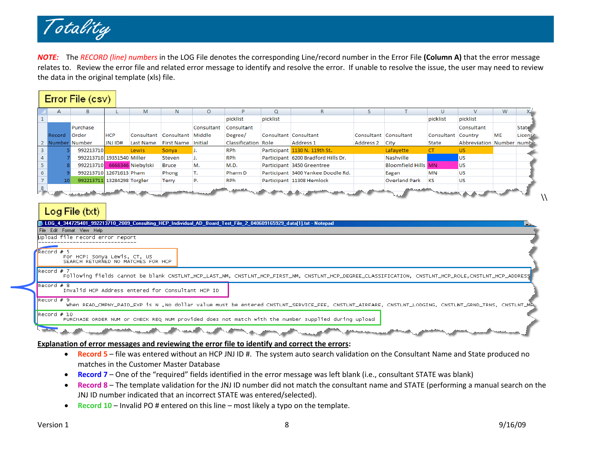

*NOTE:* The *RECORD (line) numbers* in the LOG File denotes the corresponding Line/record number in the Error File **(Column A)** that the error message relates to. Review the error file and related error message to identify and resolve the error. If unable to resolve the issue, the user may need to review the data in the original template (xls) file.

|                                                      | Error File (csv) |                            |            |                   |                              |            |                     |          |                                     |           |                            |                               |                            |           |              |
|------------------------------------------------------|------------------|----------------------------|------------|-------------------|------------------------------|------------|---------------------|----------|-------------------------------------|-----------|----------------------------|-------------------------------|----------------------------|-----------|--------------|
|                                                      |                  | в                          |            | M                 | N                            |            |                     |          | R                                   |           |                            |                               | v                          | W         |              |
| $\mathbf{1}$                                         |                  |                            |            |                   |                              |            | picklist            | picklist |                                     |           |                            | picklist                      | picklist                   |           |              |
|                                                      |                  | Purchase                   |            |                   |                              | Consultant | Consultant          |          |                                     |           |                            |                               | Consultant                 |           | <b>State</b> |
|                                                      | Record           | <b>Order</b>               | <b>HCP</b> |                   | Consultant Consultant Middle |            | Degree/             |          | Consultant Consultant               |           | Consultant Consultant      | Consultant Country            |                            | <b>ME</b> | License      |
| $\overline{2}$                                       | Number Number    |                            | JNJ ID#    | Last Name         | <b>First Name Initial</b>    |            | Classification Role |          | Address 1                           | Address 2 | City                       | State                         | Abbreviation Number number |           |              |
| $\overline{\mathbf{3}}$                              |                  | 992213710                  |            | <b>Lewis</b>      | Sonya                        |            | <b>RPh</b>          |          | Participant 1130 N. 119th St.       |           | Lafayette                  | <b>CT</b>                     | US.                        |           |              |
|                                                      |                  | 992213710 19351540 Miller  |            |                   | Steven                       |            | <b>RPh</b>          |          | Participant 6200 Bradford Hills Dr. |           | Nashville                  |                               | <b>US</b>                  |           |              |
|                                                      |                  | 992213710                  |            | 6668346 Niebylski | <b>Bruce</b>                 | м.         | M.D.                |          | Participant 3450 Greentree          |           | <b>Bloomfield Hills MN</b> |                               | lus                        |           |              |
| $\begin{array}{c}\n4 \\ 5 \\ \hline\n6\n\end{array}$ |                  | 992213710 12671613 Pham    |            |                   | Phong                        | ъ.         | Pharm D             |          | Participant 3400 Yankee Doodle Rd.  |           | Eagan                      | <b>MN</b>                     | <b>US</b>                  |           |              |
| $\overline{7}$                                       |                  | 992213711 13284298 Torgler |            |                   | Terry                        | Р.         | <b>RPh</b>          |          | Participant 11308 Hemlock           |           | <b>Overland Park</b>       | <b>KS</b>                     | <b>US</b>                  |           |              |
| $\frac{8}{2}$                                        |                  |                            |            |                   | and a manufacturer of the    |            | فقمسم               |          |                                     |           | کی کہا کہ کہ کہ کہ ک       | <b><i>Charles Address</i></b> |                            |           |              |

## Log File (txt)

|                            | LOG 4 344725401 992213710 2009 Consulting HCP Individual AD Board Test File 2 040609165929 data[1].txt - Notepad                                                                                                                                          |  |
|----------------------------|-----------------------------------------------------------------------------------------------------------------------------------------------------------------------------------------------------------------------------------------------------------|--|
|                            | File Edit Format View Help                                                                                                                                                                                                                                |  |
|                            | Upload file record error report                                                                                                                                                                                                                           |  |
|                            |                                                                                                                                                                                                                                                           |  |
|                            |                                                                                                                                                                                                                                                           |  |
| Record # 5                 | For HCP: Sonya Lewis, CT, US                                                                                                                                                                                                                              |  |
|                            | SEARCH RETURNED NO MATCHES FOR HCP                                                                                                                                                                                                                        |  |
|                            |                                                                                                                                                                                                                                                           |  |
| Record # 7                 |                                                                                                                                                                                                                                                           |  |
|                            | Following fields cannot be blank CNSTLNT_HCP_LAST_NM, CNSTLNT_HCP_FIRST_NM, CNSTLNT_HCP_DEGREE_CLASSIFICATION, CNSTLNT_HCP_ROLE,CNSTLNT_HCP_ADDRESS                                                                                                       |  |
| Record # 8                 |                                                                                                                                                                                                                                                           |  |
|                            | Invalid HCP Address entered for Consultant HCP ID                                                                                                                                                                                                         |  |
| Record # 9                 |                                                                                                                                                                                                                                                           |  |
|                            |                                                                                                                                                                                                                                                           |  |
|                            |                                                                                                                                                                                                                                                           |  |
| $\blacksquare$ Record # 10 |                                                                                                                                                                                                                                                           |  |
|                            |                                                                                                                                                                                                                                                           |  |
|                            |                                                                                                                                                                                                                                                           |  |
|                            |                                                                                                                                                                                                                                                           |  |
|                            | When READ_CMPNY_PAID_EXP is N ,No dollar value must be entered CNSTLNT_SERVICE_FEE, CNSTLNT_AIRFARE, CNSTLNT_LODGING, CNSTLNT_GRND_TRNS, CNSTLNT_ME<br>PURCHASE ORDER NUM or CHECK REQ NUM provided does not match with the number supplied during upload |  |

#### **Explanation of error messages and reviewing the error file to identify and correct the errors:**

- **Record 5** file was entered without an HCP JNJ ID #. The system auto search validation on the Consultant Name and State produced no matches in the Customer Master Database
- **Record 7** One of the "required" fields identified in the error message was left blank (i.e., consultant STATE was blank)
- **Record 8** The template validation for the JNJ ID number did not match the consultant name and STATE (performing <sup>a</sup> manual search on the JNJ ID number indicated that an incorrect STATE was entered/selected).
- **Record 10** Invalid PO # entered on this line most likely <sup>a</sup> typo on the template.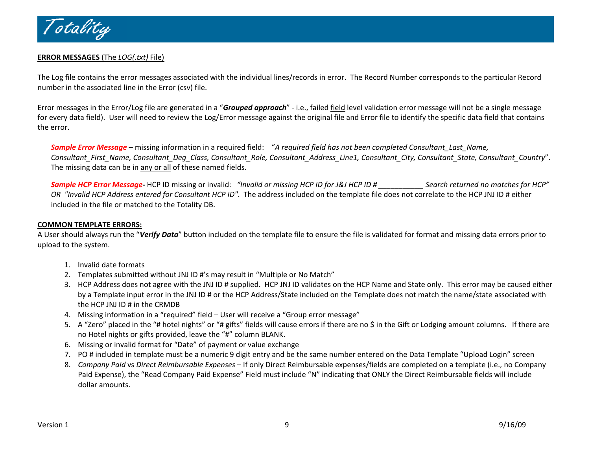

#### **ERROR MESSAGES** (The *LOG(.txt)* File)

The Log file contains the error messages associated with the individual lines/records in error. The Record Number corresponds to the particular Record number in the associated line in the Error (csv) file.

Error messages in the Error/Log file are generated in <sup>a</sup> "*Grouped approach*" ‐ i.e., failed field level validation error message will not be <sup>a</sup> single message for every data field). User will need to review the Log/Error message against the original file and Error file to identify the specific data field that contains the error.

*Sample Error Message* – missing information in <sup>a</sup> required field: "*A required field has not been completed Consultant\_Last\_Name, Consultant\_First\_Name, Consultant\_Deg\_Class, Consultant\_Role, Consultant\_Address\_Line1, Consultant\_City, Consultant\_State, Consultant\_Country*". The missing data can be in <u>any or all</u> of these named fields.

Sample HCP Error Message-HCP ID missing or invalid: "Invalid or missing HCP ID for J&J HCP ID # Search returned no matches for HCP" *OR "Invalid HCP Address entered for Consultant HCP ID"*. The address included on the template file does not correlate to the HCP JNJ ID # either included in the file or matched to the Totality DB.

#### **COMMON TEMPLATE ERRORS:**

A User should always run the "*Verify Data*" button included on the template file to ensure the file is validated for format and missing data errors prior to upload to the system.

- 1. Invalid date formats
- 2. Templates submitted without JNJ ID #'s may result in "Multiple or No Match"
- 3. HCP Address does not agree with the JNJ ID # supplied. HCP JNJ ID validates on the HCP Name and State only. This error may be caused either by <sup>a</sup> Template input error in the JNJ ID # or the HCP Address/State included on the Template does not match the name/state associated with the HCP JNJ ID # in the CRMDB
- 4. Missing information in <sup>a</sup> "required" field User will receive <sup>a</sup> "Group error message"
- 5. A "Zero" placed in the "# hotel nights" or "# gifts" fields will cause errors if there are no \$ in the Gift or Lodging amount columns. If there are no Hotel nights or gifts provided, leave the "#" column BLANK.
- 6. Missing or invalid format for "Date" of payment or value exchange
- 7. PO # included in template must be <sup>a</sup> numeric 9 digit entry and be the same number entered on the Data Template "Upload Login" screen
- 8. *Company Paid* vs *Direct Reimbursable Expenses* If only Direct Reimbursable expenses/fields are completed on <sup>a</sup> template (i.e., no Company Paid Expense), the "Read Company Paid Expense" Field must include "N" indicating that ONLY the Direct Reimbursable fields will include dollar amounts.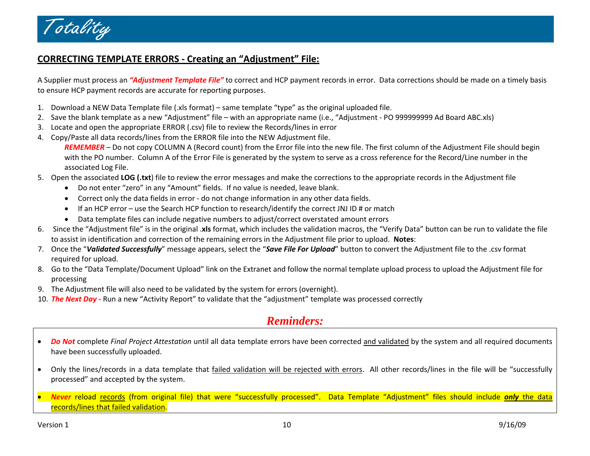

## **CORRECTING TEMPLATE ERRORS ‐ Creating an "Adjustment" File:**

A Supplier must process an *"Adjustment Template File"* to correct and HCP payment records in error. Data corrections should be made on <sup>a</sup> timely basis to ensure HCP payment records are accurate for reporting purposes.

- 1. Download a NEW Data Template file (.xls format) same template "type" as the original uploaded file.
- 2. Save the blank template as <sup>a</sup> new "Adjustment" file with an appropriate name (i.e., "Adjustment ‐ PO 999999999 Ad Board ABC.xls)
- 3. Locate and open the appropriate ERROR (.csv) file to review the Records/lines in error
- 4. Copy/Paste all data records/lines from the ERROR file into the NEW Adjustment file.

*REMEMBER* – Do not copy COLUMN A (Record count) from the Error file into the new file. The first column of the Adjustment File should begin with the PO number. Column A of the Error File is generated by the system to serve as <sup>a</sup> cross reference for the Record/Line number in the associated Log File.

- 5. Open the associated **LOG (.txt**) file to review the error messages and make the corrections to the appropriate records in the Adjustment file
	- Do not enter "zero" in any "Amount" fields. If no value is needed, leave blank.
	- Correct only the data fields in error ‐ do not change information in any other data fields.
	- If an HCP error use the Search HCP function to research/identify the correct JNJ ID # or match
	- Data template files can include negative numbers to adjust/correct overstated amount errors
- 6. Since the "Adjustment file" is in the original .**xls** format, which includes the validation macros, the "Verify Data" button can be run to validate the file to assist in identification and correction of the remaining errors in the Adjustment file prior to upload. **Notes**:
- 7. Once the "*Validated Successfully*" message appears, select the "*Save File For Upload*" button to convert the Adjustment file to the .csv format required for upload.
- 8. Go to the "Data Template/Document Upload" link on the Extranet and follow the normal template upload process to upload the Adjustment file for processing
- 9. The Adjustment file will also need to be validated by the system for errors (overnight).
- 10. *The Next Day* ‐ Run <sup>a</sup> new "Activity Report" to validate that the "adjustment" template was processed correctly

# *Reminders:*

- *Do Not* complete *Final Project Attestation* until all data template errors have been corrected and validated by the system and all required documents have been successfully uploaded.
- $\bullet$ Only the lines/records in a data template that failed validation will be rejected with errors. All other records/lines in the file will be "successfully processed" and accepted by the system.
- • *Never* reload records (from original file) that were "successfully processed". Data Template "Adjustment" files should include *only* the data records/lines that failed validation.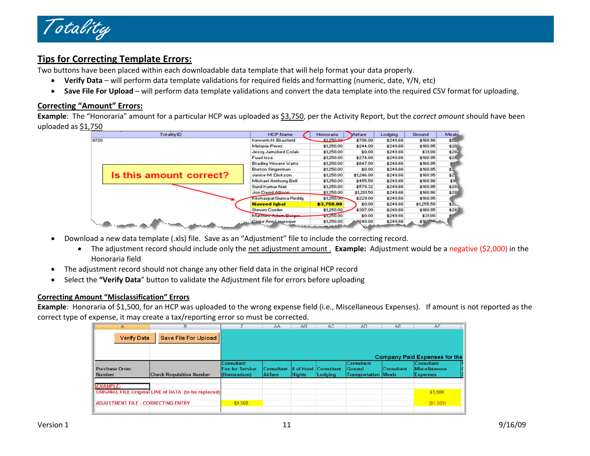

## **Tips for Correcting Template Errors:**

Two buttons have been placed within each downloadable data template that will help format your data properly.

- **Verify Data** will perform data template validations for required fields and formatting (numeric, date, Y/N, etc)
- •**Save File For Upload** – will perform data template validations and convert the data template into the required CSV format for uploading.

#### **Correcting "Amount" Errors:**

**Example**: The "Honoraria" amount for <sup>a</sup> particular HCP was uploaded as \$3,750, per the Activity Report, but the *correct amount* should have been uploaded as \$1,750

|      | Totality ID             | <b>HCP Name</b>              | Honoraria                           | <b>Mirfare</b>    | Lodging  | Ground     | Meals. |
|------|-------------------------|------------------------------|-------------------------------------|-------------------|----------|------------|--------|
| 8720 |                         | Kenneth H. Brasfield         | \$1250.00                           | \$706.00          | \$249.66 | \$160.96   | \$2.   |
|      |                         | Melanie Perez                | \$1,250.00                          | \$244.00          | \$249.66 | \$160.95   | \$281  |
|      |                         | Jessy Jamshed Colah          | \$1,250.00                          | \$0.00            | \$249.66 | \$31.00    | \$282  |
|      |                         | Fuad Issa                    | \$1,250.00                          | \$274.00          | \$249.66 | \$160.95   | \$28.  |
|      |                         | <b>Bradley Vincent Watts</b> | \$1,250.00                          | \$647.00          | \$249.66 | \$160.95   |        |
|      |                         | Burton Singerman             | \$1,250.00                          | \$0.00            | \$249.66 | \$160.95   | \$2    |
|      | Is this amount correct? | Janice M. Dickson            | \$1,250.00                          | \$1,246.00        | \$249.66 | \$160.95   | \$2.   |
|      |                         | Michael Anthony Bell         | \$1,250.00                          | \$455.50          | \$249.66 | \$160.96   | \$1.   |
|      |                         | Sunil Kumar Nair             | \$1,250.00                          | \$579.32          | \$249.66 | \$160.95   | \$282  |
|      |                         | Jon David Allison            | \$1,250.00                          | \$1,201.50        | \$249.66 | \$160.96   | \$285  |
|      |                         | Keshavpal Gunna Reddy        | \$1,250,00                          | \$229.00          | \$249.66 | \$160.95   |        |
|      |                         | <b>Naveed Igbal</b>          | \$3,750.00                          | \$0.00            | \$249.66 | \$1,255.50 | \$2.   |
|      |                         | <b>Steven Corder</b>         | \$1,250.00                          | \$307.00          | \$249.66 | \$160.95   | \$282  |
|      |                         | Matthew Adam Borger          | \$L250.00                           | \$0.00            | \$249.66 | \$31.00    |        |
|      |                         | Claire Ann Levesque          | \$1,250.00<br>بمنشوع ويرجحه المحمدة | 1240.00<br>ma a m | \$249.66 | \$16 15 -  |        |

- • Download a new data template (.xls) file. Save as an "Adjustment" file to include the correcting record.
	- The adjustment record should include only the net adjustment amount . **Example:** Adjustment would be <sup>a</sup> negative (\$2,000) in the Honoraria field
- $\bullet$ The adjustment record should not change any other field data in the original HCP record
- •**•** Select the **"Verify Data**" button to validate the Adjustment file for errors before uploading

#### **Correcting Amount "Misclassification" Errors**

**Example**: Honoraria of \$1,500, for an HCP was uploaded to the wrong expense field (i.e., Miscellaneous Expenses). If amount is not reported as the correct type of expense, it may create <sup>a</sup> tax/reporting error so must be corrected.

| A                                         | B                                                    |                                                             | AA                           | AB            | AC                               | <b>AD</b>                                                  | <b>AE</b>         | <b>AF</b>                                                    |
|-------------------------------------------|------------------------------------------------------|-------------------------------------------------------------|------------------------------|---------------|----------------------------------|------------------------------------------------------------|-------------------|--------------------------------------------------------------|
| <b>Verify Data</b>                        | Save File For Upload                                 |                                                             |                              |               |                                  |                                                            |                   |                                                              |
|                                           |                                                      |                                                             |                              |               |                                  |                                                            |                   | <b>Company Paid Expenses for the</b>                         |
| <b>Purchase Order</b><br><b>Number</b>    | <b>Check Requisition Number</b>                      | <b>Consultant</b><br><b>Fee for Service</b><br>(Honorarium) | <b>Consultant</b><br>Airfare | <b>Nights</b> | # of Hotel Consultant<br>Lodging | <b>Consultant</b><br>Ground<br><b>Transportation Meals</b> | <b>Consultant</b> | <b>Consultant</b><br><b>Miscellaneous</b><br><b>Expenses</b> |
| <b>EXAMPLE:</b>                           | ORIGINAL FILE Original LINE of DATA (to be replaced) |                                                             |                              |               |                                  |                                                            |                   | \$1,500                                                      |
| <b>ADJUSTMENT FILE - CORRECTING ENTRY</b> |                                                      | \$1,500                                                     |                              |               |                                  |                                                            |                   | (\$1,500)                                                    |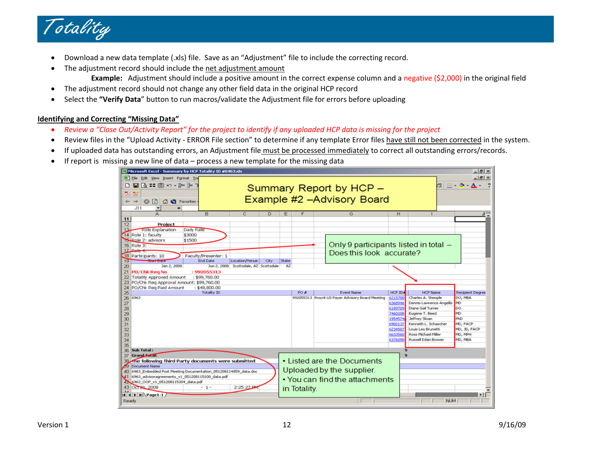

- •Download a new data template (.xls) file. Save as an "Adjustment" file to include the correcting record.
- •• The adjustment record should include the net adjustment amount
	- **Example:** Adjustment should include <sup>a</sup> positive amount in the correct expense column and <sup>a</sup> negative (\$2,000) in the original field
- •The adjustment record should not change any other field data in the original HCP record
- •**Select the "Verify Data**" button to run macros/validate the Adjustment file for errors before uploading

#### **Identifying and Correcting "Missing Data"**

- •• Review a "Close Out/Activity Report" for the project to identify if any uploaded HCP data is missing for the project
- •● Review files in the "Upload Activity - ERROR File section" to determine if any template Error files have still not been corrected in the system.
- •If uploaded data has outstanding errors, an Adjustment file must be processed immediately to correct all outstanding errors/records.
- •If report is missing <sup>a</sup> new line of data – process <sup>a</sup> new template for the missing data